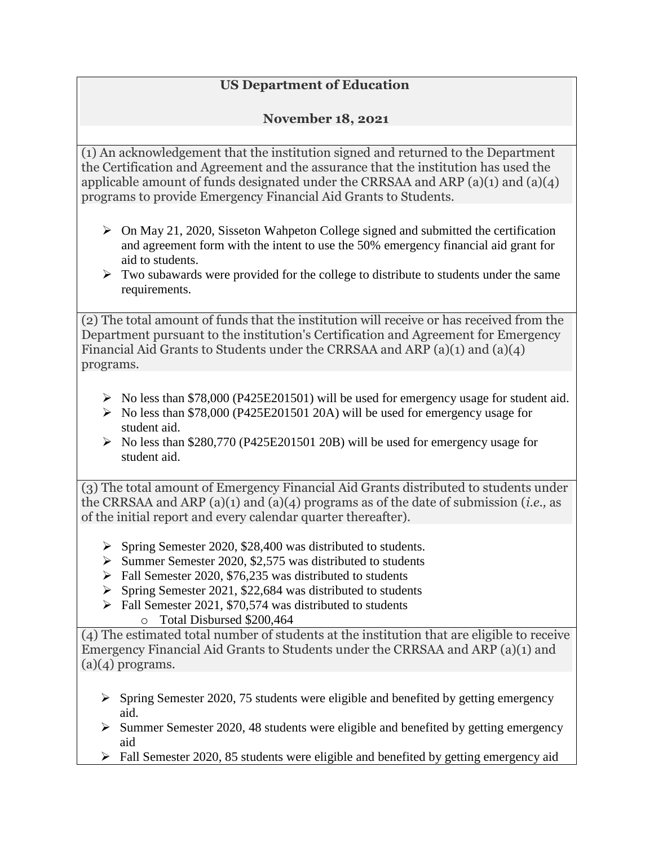## **US Department of Education**

## **November 18, 2021**

(1) An acknowledgement that the institution signed and returned to the Department the Certification and Agreement and the assurance that the institution has used the applicable amount of funds designated under the CRRSAA and ARP (a)(1) and (a)(4) programs to provide Emergency Financial Aid Grants to Students.

- $\triangleright$  On May 21, 2020, Sisseton Wahpeton College signed and submitted the certification and agreement form with the intent to use the 50% emergency financial aid grant for aid to students.
- $\triangleright$  Two subawards were provided for the college to distribute to students under the same requirements.

(2) The total amount of funds that the institution will receive or has received from the Department pursuant to the institution's Certification and Agreement for Emergency Financial Aid Grants to Students under the CRRSAA and ARP (a)(1) and (a)(4) programs.

- $\triangleright$  No less than \$78,000 (P425E201501) will be used for emergency usage for student aid.
- $\triangleright$  No less than \$78,000 (P425E201501 20A) will be used for emergency usage for student aid.
- $\triangleright$  No less than \$280,770 (P425E201501 20B) will be used for emergency usage for student aid.

(3) The total amount of Emergency Financial Aid Grants distributed to students under the CRRSAA and ARP (a)(1) and (a)(4) programs as of the date of submission (*i.e.,* as of the initial report and every calendar quarter thereafter).

- $\triangleright$  Spring Semester 2020, \$28,400 was distributed to students.
- $\triangleright$  Summer Semester 2020, \$2,575 was distributed to students
- $\triangleright$  Fall Semester 2020, \$76,235 was distributed to students
- $\triangleright$  Spring Semester 2021, \$22,684 was distributed to students
- $\triangleright$  Fall Semester 2021, \$70,574 was distributed to students o Total Disbursed \$200,464

(4) The estimated total number of students at the institution that are eligible to receive Emergency Financial Aid Grants to Students under the CRRSAA and ARP (a)(1) and  $(a)(4)$  programs.

- $\triangleright$  Spring Semester 2020, 75 students were eligible and benefited by getting emergency aid.
- $\triangleright$  Summer Semester 2020, 48 students were eligible and benefited by getting emergency aid
- $\triangleright$  Fall Semester 2020, 85 students were eligible and benefited by getting emergency aid